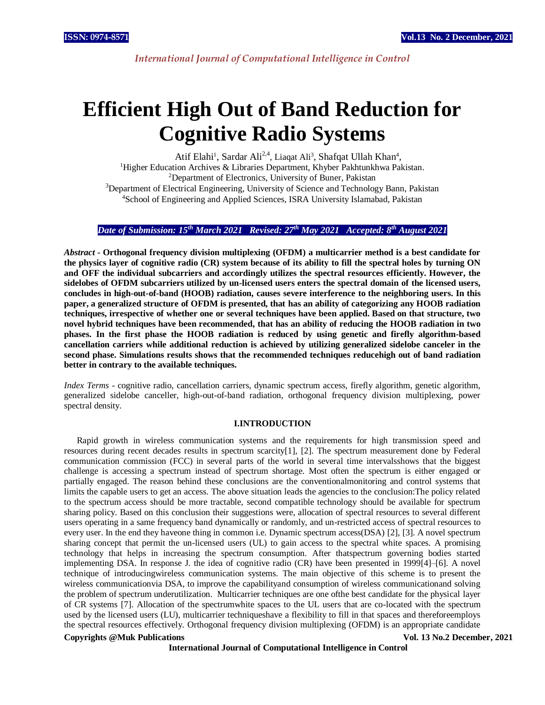*International Journal of Computational Intelligence in Control*

# **Efficient High Out of Band Reduction for Cognitive Radio Systems**

Atif Elahi<sup>1</sup>, Sardar Ali<sup>2,4</sup>, Liaqat Ali<sup>3</sup>, Shafqat Ullah Khan<sup>4</sup>, <sup>1</sup>Higher Education Archives & Libraries Department, Khyber Pakhtunkhwa Pakistan. <sup>2</sup>Department of Electronics, University of Buner, Pakistan <sup>3</sup>Department of Electrical Engineering, University of Science and Technology Bann, Pakistan <sup>4</sup>School of Engineering and Applied Sciences, ISRA University Islamabad, Pakistan

# *Date of Submission: 15th March 2021 Revised: 27th May 2021 Accepted: 8th August 2021*

*Abstract* **- Orthogonal frequency division multiplexing (OFDM) a multicarrier method is a best candidate for the physics layer of cognitive radio (CR) system because of its ability to fill the spectral holes by turning ON and OFF the individual subcarriers and accordingly utilizes the spectral resources efficiently. However, the sidelobes of OFDM subcarriers utilized by un-licensed users enters the spectral domain of the licensed users, concludes in high-out-of-band (HOOB) radiation, causes severe interference to the neighboring users. In this paper, a generalized structure of OFDM is presented, that has an ability of categorizing any HOOB radiation techniques, irrespective of whether one or several techniques have been applied. Based on that structure, two novel hybrid techniques have been recommended, that has an ability of reducing the HOOB radiation in two phases. In the first phase the HOOB radiation is reduced by using genetic and firefly algorithm-based cancellation carriers while additional reduction is achieved by utilizing generalized sidelobe canceler in the second phase. Simulations results shows that the recommended techniques reducehigh out of band radiation better in contrary to the available techniques.** 

*Index Terms* - cognitive radio, cancellation carriers, dynamic spectrum access, firefly algorithm, genetic algorithm, generalized sidelobe canceller, high-out-of-band radiation, orthogonal frequency division multiplexing, power spectral density.

# **I.INTRODUCTION**

Rapid growth in wireless communication systems and the requirements for high transmission speed and resources during recent decades results in spectrum scarcity[1], [2]. The spectrum measurement done by Federal communication commission (FCC) in several parts of the world in several time intervalsshows that the biggest challenge is accessing a spectrum instead of spectrum shortage. Most often the spectrum is either engaged or partially engaged. The reason behind these conclusions are the conventionalmonitoring and control systems that limits the capable users to get an access. The above situation leads the agencies to the conclusion:The policy related to the spectrum access should be more tractable, second compatible technology should be available for spectrum sharing policy. Based on this conclusion their suggestions were, allocation of spectral resources to several different users operating in a same frequency band dynamically or randomly, and un-restricted access of spectral resources to every user. In the end they haveone thing in common i.e. Dynamic spectrum access(DSA) [2], [3]. A novel spectrum sharing concept that permit the un-licensed users (UL) to gain access to the spectral white spaces. A promising technology that helps in increasing the spectrum consumption. After thatspectrum governing bodies started implementing DSA. In response J. the idea of cognitive radio (CR) have been presented in 1999[4]–[6]. A novel technique of introducingwireless communication systems. The main objective of this scheme is to present the wireless communicationvia DSA, to improve the capabilityand consumption of wireless communicationand solving the problem of spectrum underutilization. Multicarrier techniques are one ofthe best candidate for the physical layer of CR systems [7]. Allocation of the spectrumwhite spaces to the UL users that are co-located with the spectrum used by the licensed users (LU), multicarrier techniqueshave a flexibility to fill in that spaces and thereforeemploys the spectral resources effectively. Orthogonal frequency division multiplexing (OFDM) is an appropriate candidate

### **Copyrights @Muk Publications Vol. 13 No.2 December, 2021**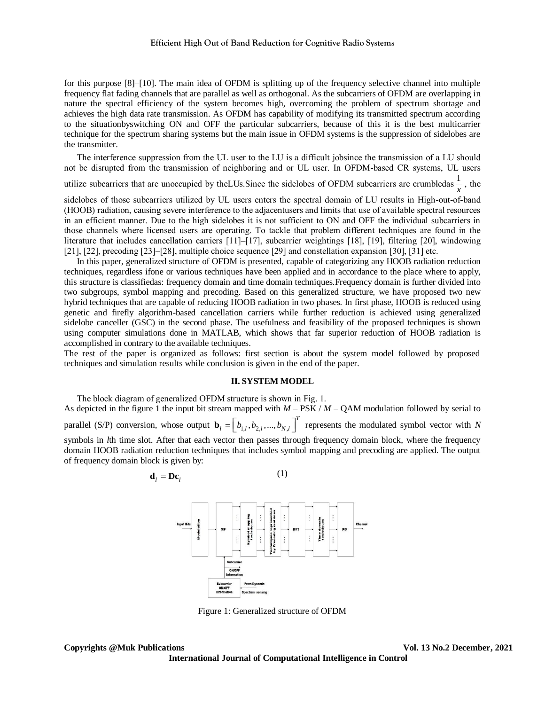for this purpose [8]–[10]. The main idea of OFDM is splitting up of the frequency selective channel into multiple frequency flat fading channels that are parallel as well as orthogonal. As the subcarriers of OFDM are overlapping in nature the spectral efficiency of the system becomes high, overcoming the problem of spectrum shortage and achieves the high data rate transmission. As OFDM has capability of modifying its transmitted spectrum according to the situationbyswitching ON and OFF the particular subcarriers, because of this it is the best multicarrier technique for the spectrum sharing systems but the main issue in OFDM systems is the suppression of sidelobes are the transmitter.

The interference suppression from the UL user to the LU is a difficult jobsince the transmission of a LU should not be disrupted from the transmission of neighboring and or UL user. In OFDM-based CR systems, UL users

utilize subcarriers that are unoccupied by the LUs. Since the sidelobes of OFDM subcarriers are crumbledas  $\frac{1}{1}$  $\frac{1}{x}$ , the

sidelobes of those subcarriers utilized by UL users enters the spectral domain of LU results in High-out-of-band (HOOB) radiation, causing severe interference to the adjacentusers and limits that use of available spectral resources in an efficient manner. Due to the high sidelobes it is not sufficient to ON and OFF the individual subcarriers in those channels where licensed users are operating. To tackle that problem different techniques are found in the literature that includes cancellation carriers [11]–[17], subcarrier weightings [18], [19], filtering [20], windowing [21], [22], precoding [23]–[28], multiple choice sequence [29] and constellation expansion [30], [31] etc.

In this paper, generalized structure of OFDM is presented, capable of categorizing any HOOB radiation reduction techniques, regardless ifone or various techniques have been applied and in accordance to the place where to apply, this structure is classifiedas: frequency domain and time domain techniques.Frequency domain is further divided into two subgroups, symbol mapping and precoding. Based on this generalized structure, we have proposed two new hybrid techniques that are capable of reducing HOOB radiation in two phases. In first phase, HOOB is reduced using genetic and firefly algorithm-based cancellation carriers while further reduction is achieved using generalized sidelobe canceller (GSC) in the second phase. The usefulness and feasibility of the proposed techniques is shown using computer simulations done in MATLAB, which shows that far superior reduction of HOOB radiation is accomplished in contrary to the available techniques.

The rest of the paper is organized as follows: first section is about the system model followed by proposed techniques and simulation results while conclusion is given in the end of the paper.

# **II. SYSTEM MODEL**

The block diagram of generalized OFDM structure is shown in Fig. 1. As depicted in the figure 1 the input bit stream mapped with  $M - PSK / M - QAM$  modulation followed by serial to parallel (S/P) conversion, whose output  $\mathbf{b}_l = \begin{bmatrix} b_{1,l}, b_{2,l},..., b_N \end{bmatrix}$  $\mathbf{b}_l = \left[ b_{l,l}, b_{2,l},..., b_{N,l} \right]$ <sup>T</sup> represents the modulated symbol vector with *N* symbols in *l*th time slot. After that each vector then passes through frequency domain block, where the frequency domain HOOB radiation reduction techniques that includes symbol mapping and precoding are applied. The output of frequency domain block is given by:

$$
\mathbf{d}_l = \mathbf{D}\mathbf{c}_l \tag{1}
$$



Figure 1: Generalized structure of OFDM

**Copyrights @Muk Publications Vol. 13 No.2 December, 2021**

**International Journal of Computational Intelligence in Control**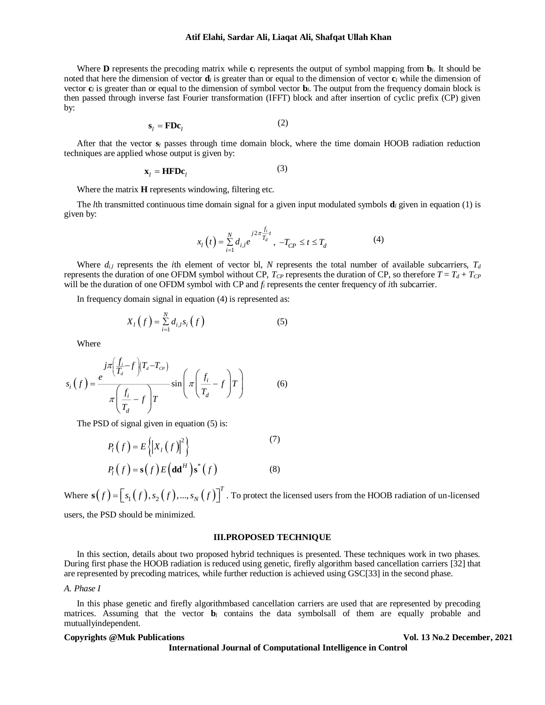#### **Atif Elahi, Sardar Ali, Liaqat Ali, Shafqat Ullah Khan**

Where **D** represents the precoding matrix while  $\mathbf{c}_l$  represents the output of symbol mapping from  $\mathbf{b}_l$ . It should be noted that here the dimension of vector **d***<sup>l</sup>* is greater than or equal to the dimension of vector **c***<sup>l</sup>* while the dimension of vector  $\mathbf{c}_l$  is greater than or equal to the dimension of symbol vector  $\mathbf{b}_l$ . The output from the frequency domain block is then passed through inverse fast Fourier transformation (IFFT) block and after insertion of cyclic prefix (CP) given by:

$$
\mathbf{s}_l = \mathbf{F} \mathbf{D} \mathbf{c}_l \tag{2}
$$

After that the vector **s***<sup>l</sup>* passes through time domain block, where the time domain HOOB radiation reduction techniques are applied whose output is given by:

$$
\mathbf{x}_l = \mathbf{HFDc}_l \tag{3}
$$

Where the matrix **H** represents windowing, filtering etc.

The *l*th transmitted continuous time domain signal for a given input modulated symbols **d***<sup>l</sup>* given in equation (1) is given by:

$$
x_{l}(t) = \sum_{i=1}^{N} d_{i,l} e^{j2\pi \frac{f_{i}}{T_{d}}}, -T_{CP} \le t \le T_{d}
$$
 (4)

Where  $d_{i,l}$  represents the *i*th element of vector bl, *N* represents the total number of available subcarriers,  $T_d$ represents the duration of one OFDM symbol without CP,  $T_{CP}$  represents the duration of CP, so therefore  $T = T_d + T_{CP}$ will be the duration of one OFDM symbol with CP and *f<sup>i</sup>* represents the center frequency of *i*th subcarrier.

In frequency domain signal in equation (4) is represented as:

$$
X_{l}\left(f\right) = \sum_{i=1}^{N} d_{i,l} s_{i}\left(f\right) \tag{5}
$$

Where

$$
s_i(f) = \frac{e^{-j\pi \left(\frac{f_i}{T_d} - f\right)(T_d - T_{CP})}}{\pi \left(\frac{f_i}{T_d} - f\right)T} \sin \left(\pi \left(\frac{f_i}{T_d} - f\right)T\right)
$$
(6)

The PSD of signal given in equation  $(5)$  is:

$$
P_{l}(f) = E\left\{ \left| X_{l}(f) \right|^{2} \right\}
$$
\n
$$
P_{l}(f) = \mathbf{s}(f) E\left(\mathbf{d}\mathbf{d}^{H}\right) \mathbf{s}^{*}(f)
$$
\n(8)

Where  $\mathbf{s}(f) = [s_1(f), s_2(f), ..., s_N(f)]^T$  $\mathbf{s}(f) = \left[s_1(f), s_2(f), ..., s_N(f)\right]^T$ . To protect the licensed users from the HOOB radiation of un-licensed

users, the PSD should be minimized.

# **III.PROPOSED TECHNIQUE**

In this section, details about two proposed hybrid techniques is presented. These techniques work in two phases. During first phase the HOOB radiation is reduced using genetic, firefly algorithm based cancellation carriers [32] that are represented by precoding matrices, while further reduction is achieved using GSC[33] in the second phase.

# *A. Phase I*

In this phase genetic and firefly algorithmbased cancellation carriers are used that are represented by precoding matrices. Assuming that the vector **b***<sup>l</sup>* contains the data symbolsall of them are equally probable and mutuallyindependent.

**International Journal of Computational Intelligence in Control**

**Copyrights @Muk Publications Vol. 13 No.2 December, 2021**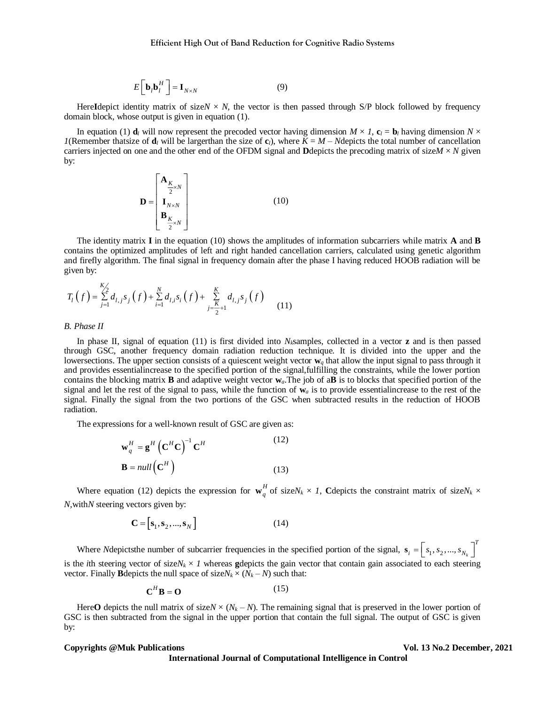$$
E\left[\mathbf{b}_{l}\mathbf{b}_{l}^{H}\right] = \mathbf{I}_{N\times N} \tag{9}
$$

Here**I**depict identity matrix of size $N \times N$ , the vector is then passed through S/P block followed by frequency domain block, whose output is given in equation (1).

In equation (1)  $\mathbf{d}_l$  will now represent the precoded vector having dimension  $M \times I$ ,  $\mathbf{c}_l = \mathbf{b}_l$  having dimension  $N \times I$ *1*(Remember thatsize of  $\mathbf{d}_l$  will be largerthan the size of  $\mathbf{c}_l$ ), where  $K = M - N$ depicts the total number of cancellation carriers injected on one and the other end of the OFDM signal and **D**depicts the precoding matrix of size $M \times N$  given by:

$$
\mathbf{D} = \begin{bmatrix} \mathbf{A}_{\frac{K}{2} \times N} \\ \mathbf{I}_{N \times N} \\ \mathbf{B}_{\frac{K}{2} \times N} \end{bmatrix}
$$
 (10)

The identity matrix **I** in the equation (10) shows the amplitudes of information subcarriers while matrix **A** and **B**  contains the optimized amplitudes of left and right handed cancellation carriers, calculated using genetic algorithm and firefly algorithm. The final signal in frequency domain after the phase I having reduced HOOB radiation will be given by:

$$
T_l(f) = \sum_{j=1}^{K/2} d_{l,j} s_j(f) + \sum_{i=1}^{N} d_{l,i} s_i(f) + \sum_{j=\frac{K}{2}+1}^{K} d_{l,j} s_j(f)
$$
(11)

#### *B. Phase II*

*If*  $\int = \mathbf{I}_{S \times N}$  (9)<br>
attis of size  $N \times N$ , the vector is then passed through S/P block fol<br>
at is given in equation (1).<br>
now regressent the precoded vector having dimension  $M \times L$ , c = b h will be larger<br>than the s In phase II, signal of equation (11) is first divided into *Nk*samples, collected in a vector **z** and is then passed through GSC, another frequency domain radiation reduction technique. It is divided into the upper and the lowersections. The upper section consists of a quiescent weight vector  $w_q$  that allow the input signal to pass through it and provides essentialincrease to the specified portion of the signal,fulfilling the constraints, while the lower portion contains the blocking matrix **B** and adaptive weight vector **w***a*.The job of a**B** is to blocks that specified portion of the signal and let the rest of the signal to pass, while the function of  $w_a$  is to provide essential increase to the rest of the signal. Finally the signal from the two portions of the GSC when subtracted results in the reduction of HOOB radiation.

The expressions for a well-known result of GSC are given as:

$$
\mathbf{w}_q^H = \mathbf{g}^H \left( \mathbf{C}^H \mathbf{C} \right)^{-1} \mathbf{C}^H
$$
\n
$$
\mathbf{B} = null \left( \mathbf{C}^H \right)
$$
\n(12)\n(13)

Where equation (12) depicts the expression for  $\mathbf{w}_q^H$  of size $N_k \times I$ , Cdepicts the constraint matrix of size $N_k \times I$ *N,*with*N* steering vectors given by:

$$
\mathbf{C} = [\mathbf{s}_1, \mathbf{s}_2, ..., \mathbf{s}_N]
$$
 (14)

Where *N*depictsthe number of subcarrier frequencies in the specified portion of the signal,  $s_i = |s_1, s_2, ..., s_{N_k}|$  $\mathbf{s}_i = \left[ s_1, s_2, ..., s_{N_k} \right]^T$ is the *i*th steering vector of size $N_k \times I$  whereas gdepicts the gain vector that contain gain associated to each steering vector. Finally **B**depicts the null space of size $N_k \times (N_k - N)$  such that:

$$
\mathbf{C}^H \mathbf{B} = \mathbf{O} \tag{15}
$$

Here O depicts the null matrix of size  $N \times (N_k - N)$ . The remaining signal that is preserved in the lower portion of GSC is then subtracted from the signal in the upper portion that contain the full signal. The output of GSC is given by:

### **Copyrights @Muk Publications Vol. 13 No.2 December, 2021**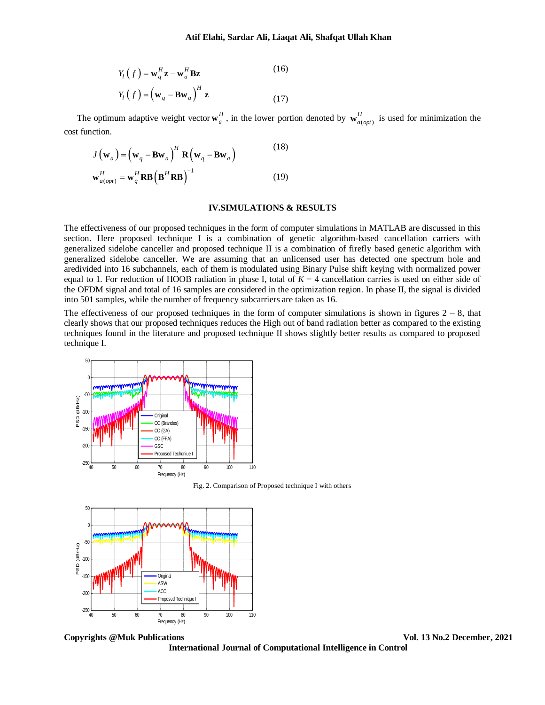$$
Y_{l}\left(f\right) = \mathbf{w}_{q}^{H}\mathbf{z} - \mathbf{w}_{a}^{H}\mathbf{B}\mathbf{z}
$$
\n
$$
Y_{l}\left(f\right) = \left(\mathbf{w}_{q} - \mathbf{B}\mathbf{w}_{a}\right)^{H}\mathbf{z}
$$
\n(16)

The optimum adaptive weight vector  $\mathbf{w}_a^H$ , in the lower portion denoted by  $\mathbf{w}_{a(opt)}^H$  $\mathbf{w}_{a(opt)}^H$  is used for minimization the cost function.

$$
J(\mathbf{w}_a) = (\mathbf{w}_q - \mathbf{B}\mathbf{w}_a)^H \mathbf{R} (\mathbf{w}_q - \mathbf{B}\mathbf{w}_a)
$$
(18)  

$$
\mathbf{w}_{a(opt)}^H = \mathbf{w}_q^H \mathbf{R} \mathbf{B} (\mathbf{B}^H \mathbf{R} \mathbf{B})^{-1}
$$
(19)

# **IV.SIMULATIONS & RESULTS**

(*f*) =  $\mathbf{w}_i^H \mathbf{z} = \mathbf{w}_i^H \mathbf{B} \mathbf{z}$  (*I*)<br>
(*f*) =  $(\mathbf{w}_g - \mathbf{B} \mathbf{w}_g)^H \mathbf{z}$  (*I*)<br>
adaptive weight vector  $\mathbf{w}_s^H$ , in the lower partian denoted by  $\mathbf{w}_{\text{off,opt}}^H$  is used<br>  $(\mathbf{w}_g - \mathbf{B} \mathbf{w}_g)^H$ The effectiveness of our proposed techniques in the form of computer simulations in MATLAB are discussed in this section. Here proposed technique I is a combination of genetic algorithm-based cancellation carriers with generalized sidelobe canceller and proposed technique II is a combination of firefly based genetic algorithm with generalized sidelobe canceller. We are assuming that an unlicensed user has detected one spectrum hole and aredivided into 16 subchannels, each of them is modulated using Binary Pulse shift keying with normalized power equal to 1. For reduction of HOOB radiation in phase I, total of  $K = 4$  cancellation carries is used on either side of the OFDM signal and total of 16 samples are considered in the optimization region. In phase II, the signal is divided into 501 samples, while the number of frequency subcarriers are taken as 16.

The effectiveness of our proposed techniques in the form of computer simulations is shown in figures  $2 - 8$ , that clearly shows that our proposed techniques reduces the High out of band radiation better as compared to the existing techniques found in the literature and proposed technique II shows slightly better results as compared to proposed technique I.



Fig. 2. Comparison of Proposed technique I with others



**Copyrights @Muk Publications Vol. 13 No.2 December, 2021**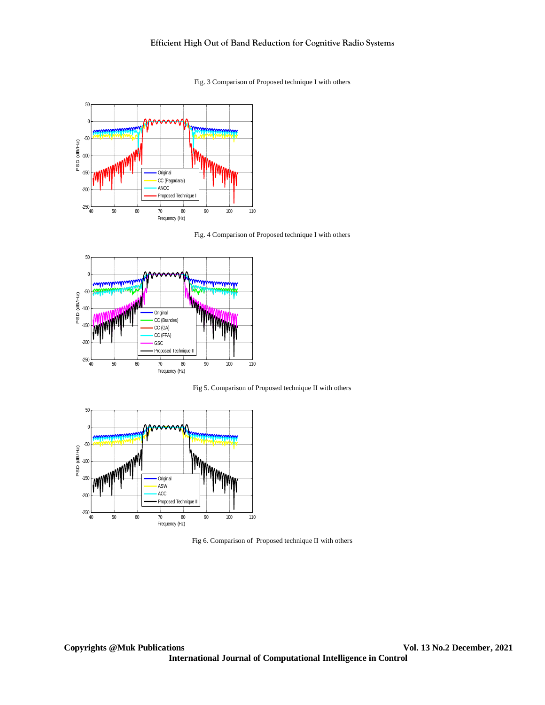# **Efficient High Out of Band Reduction for Cognitive Radio Systems**

Fig. 3 Comparison of Proposed technique I with others



Fig. 4 Comparison of Proposed technique I with others



Fig 5. Comparison of Proposed technique II with others



Fig 6. Comparison of Proposed technique II with others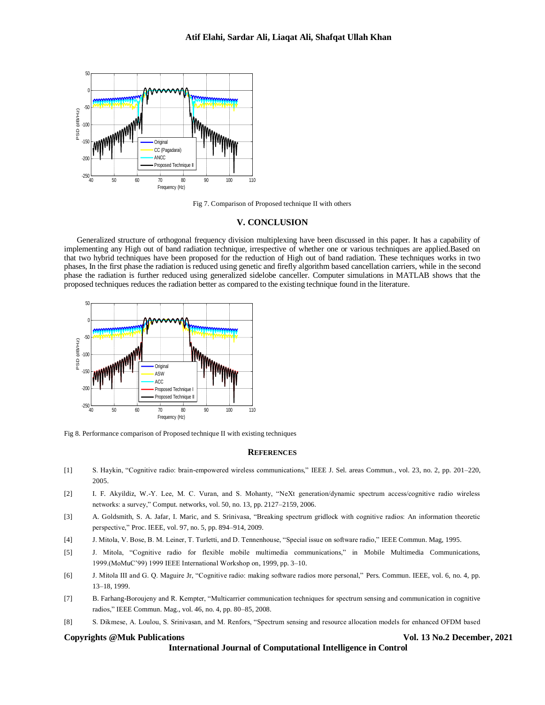

Fig 7. Comparison of Proposed technique II with others

### **V. CONCLUSION**

Generalized structure of orthogonal frequency division multiplexing have been discussed in this paper. It has a capability of implementing any High out of band radiation technique, irrespective of whether one or various techniques are applied.Based on that two hybrid techniques have been proposed for the reduction of High out of band radiation. These techniques works in two phases, In the first phase the radiation is reduced using genetic and firefly algorithm based cancellation carriers, while in the second phase the radiation is further reduced using generalized sidelobe canceller. Computer simulations in MATLAB shows that the proposed techniques reduces the radiation better as compared to the existing technique found in the literature.



Fig 8. Performance comparison of Proposed technique II with existing techniques

#### **REFERENCES**

- [1] S. Haykin, "Cognitive radio: brain-empowered wireless communications," IEEE J. Sel. areas Commun., vol. 23, no. 2, pp. 201–220, 2005.
- [2] I. F. Akyildiz, W.-Y. Lee, M. C. Vuran, and S. Mohanty, "NeXt generation/dynamic spectrum access/cognitive radio wireless networks: a survey," Comput. networks, vol. 50, no. 13, pp. 2127–2159, 2006.
- [3] A. Goldsmith, S. A. Jafar, I. Maric, and S. Srinivasa, "Breaking spectrum gridlock with cognitive radios: An information theoretic perspective," Proc. IEEE, vol. 97, no. 5, pp. 894–914, 2009.
- [4] J. Mitola, V. Bose, B. M. Leiner, T. Turletti, and D. Tennenhouse, "Special issue on software radio," IEEE Commun. Mag, 1995.
- [5] J. Mitola, "Cognitive radio for flexible mobile multimedia communications," in Mobile Multimedia Communications, 1999.(MoMuC'99) 1999 IEEE International Workshop on, 1999, pp. 3–10.
- [6] J. Mitola III and G. Q. Maguire Jr, "Cognitive radio: making software radios more personal," Pers. Commun. IEEE, vol. 6, no. 4, pp. 13–18, 1999.
- [7] B. Farhang-Boroujeny and R. Kempter, "Multicarrier communication techniques for spectrum sensing and communication in cognitive radios," IEEE Commun. Mag., vol. 46, no. 4, pp. 80–85, 2008.
- [8] S. Dikmese, A. Loulou, S. Srinivasan, and M. Renfors, "Spectrum sensing and resource allocation models for enhanced OFDM based

#### **Copyrights @Muk Publications Vol. 13 No.2 December, 2021**

**International Journal of Computational Intelligence in Control**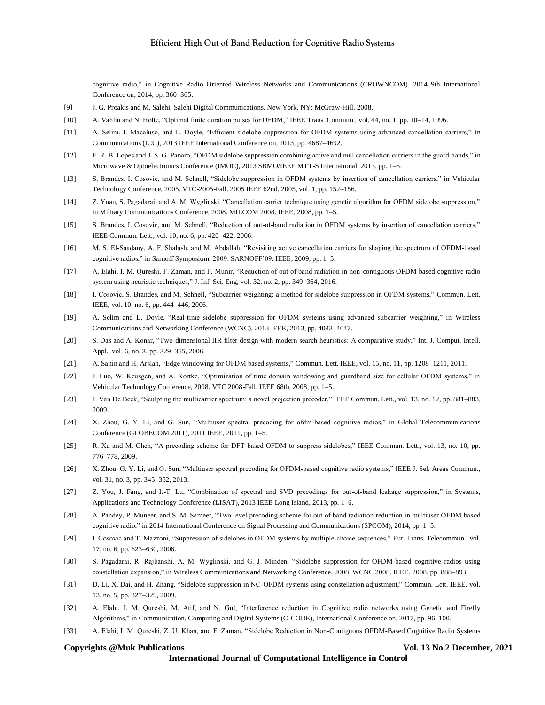cognitive radio," in Cognitive Radio Oriented Wireless Networks and Communications (CROWNCOM), 2014 9th International Conference on, 2014, pp. 360–365.

- [9] J. G. Proakis and M. Salehi, Salehi Digital Communications. New York, NY: McGraw-Hill, 2008.
- [10] A. Vahlin and N. Holte, "Optimal finite duration pulses for OFDM," IEEE Trans. Commun., vol. 44, no. 1, pp. 10–14, 1996.
- [11] A. Selim, I. Macaluso, and L. Doyle, "Efficient sidelobe suppression for OFDM systems using advanced cancellation carriers," in Communications (ICC), 2013 IEEE International Conference on, 2013, pp. 4687–4692.
- [12] F. R. B. Lopes and J. S. G. Panaro, "OFDM sidelobe suppression combining active and null cancellation carriers in the guard bands," in Microwave & Optoelectronics Conference (IMOC), 2013 SBMO/IEEE MTT-S International, 2013, pp. 1–5.
- [13] S. Brandes, I. Cosovic, and M. Schnell, "Sidelobe suppression in OFDM systems by insertion of cancellation carriers," in Vehicular Technology Conference, 2005. VTC-2005-Fall. 2005 IEEE 62nd, 2005, vol. 1, pp. 152–156.
- [14] Z. Yuan, S. Pagadarai, and A. M. Wyglinski, "Cancellation carrier technique using genetic algorithm for OFDM sidelobe suppression," in Military Communications Conference, 2008. MILCOM 2008. IEEE, 2008, pp. 1–5.
- [15] S. Brandes, I. Cosovic, and M. Schnell, "Reduction of out-of-band radiation in OFDM systems by insertion of cancellation carriers," IEEE Commun. Lett., vol. 10, no. 6, pp. 420–422, 2006.
- [16] M. S. El-Saadany, A. F. Shalash, and M. Abdallah, "Revisiting active cancellation carriers for shaping the spectrum of OFDM-based cognitive radios," in Sarnoff Symposium, 2009. SARNOFF'09. IEEE, 2009, pp. 1–5.
- [17] A. Elahi, I. M. Qureshi, F. Zaman, and F. Munir, "Reduction of out of band radiation in non-contiguous OFDM based cognitive radio system using heuristic techniques," J. Inf. Sci. Eng, vol. 32, no. 2, pp. 349–364, 2016.
- [18] I. Cosovic, S. Brandes, and M. Schnell, "Subcarrier weighting: a method for sidelobe suppression in OFDM systems," Commun. Lett. IEEE, vol. 10, no. 6, pp. 444–446, 2006.
- [19] A. Selim and L. Doyle, "Real-time sidelobe suppression for OFDM systems using advanced subcarrier weighting," in Wireless Communications and Networking Conference (WCNC), 2013 IEEE, 2013, pp. 4043–4047.
- [20] S. Das and A. Konar, "Two-dimensional IIR filter design with modern search heuristics: A comparative study," Int. J. Comput. Intell. Appl., vol. 6, no. 3, pp. 329–355, 2006.
- [21] A. Sahin and H. Arslan, "Edge windowing for OFDM based systems," Commun. Lett. IEEE, vol. 15, no. 11, pp. 1208–1211, 2011.
- [22] J. Luo, W. Keusgen, and A. Kortke, "Optimization of time domain windowing and guardband size for cellular OFDM systems," in Vehicular Technology Conference, 2008. VTC 2008-Fall. IEEE 68th, 2008, pp. 1–5.
- [23] J. Van De Beek, "Sculpting the multicarrier spectrum: a novel projection precoder," IEEE Commun. Lett., vol. 13, no. 12, pp. 881–883, 2009.
- [24] X. Zhou, G. Y. Li, and G. Sun, "Multiuser spectral precoding for ofdm-based cognitive radios," in Global Telecommunications Conference (GLOBECOM 2011), 2011 IEEE, 2011, pp. 1–5.
- [25] R. Xu and M. Chen, "A precoding scheme for DFT-based OFDM to suppress sidelobes," IEEE Commun. Lett., vol. 13, no. 10, pp. 776–778, 2009.
- [26] X. Zhou, G. Y. Li, and G. Sun, "Multiuser spectral precoding for OFDM-based cognitive radio systems," IEEE J. Sel. Areas Commun., vol. 31, no. 3, pp. 345–352, 2013.
- [27] Z. You, J. Fang, and I.-T. Lu, "Combination of spectral and SVD precodings for out-of-band leakage suppression," in Systems, Applications and Technology Conference (LISAT), 2013 IEEE Long Island, 2013, pp. 1–6.
- [28] A. Pandey, P. Muneer, and S. M. Sameer, "Two level precoding scheme for out of band radiation reduction in multiuser OFDM based cognitive radio," in 2014 International Conference on Signal Processing and Communications (SPCOM), 2014, pp. 1–5.
- [29] I. Cosovic and T. Mazzoni, "Suppression of sidelobes in OFDM systems by multiple‐choice sequences," Eur. Trans. Telecommun., vol. 17, no. 6, pp. 623–630, 2006.
- [30] S. Pagadarai, R. Rajbanshi, A. M. Wyglinski, and G. J. Minden, "Sidelobe suppression for OFDM-based cognitive radios using constellation expansion," in Wireless Communications and Networking Conference, 2008. WCNC 2008. IEEE, 2008, pp. 888–893.
- [31] D. Li, X. Dai, and H. Zhang, "Sidelobe suppression in NC-OFDM systems using constellation adjustment," Commun. Lett. IEEE, vol. 13, no. 5, pp. 327–329, 2009.
- [32] A. Elahi, I. M. Qureshi, M. Atif, and N. Gul, "Interference reduction in Cognitive radio networks using Genetic and Firefly Algorithms," in Communication, Computing and Digital Systems (C-CODE), International Conference on, 2017, pp. 96–100.
- [33] A. Elahi, I. M. Qureshi, Z. U. Khan, and F. Zaman, "Sidelobe Reduction in Non-Contiguous OFDM-Based Cognitive Radio Systems

#### **Copyrights @Muk Publications Vol. 13 No.2 December, 2021**

**International Journal of Computational Intelligence in Control**